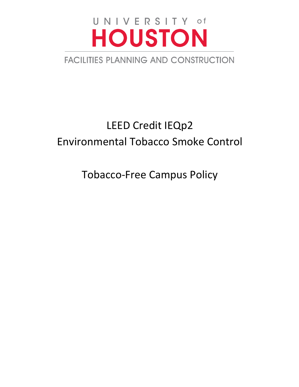# UNIVERSITY of **HOUSTON FACILITIES PLANNING AND CONSTRUCTION**

## LEED Credit IEQp2 Environmental Tobacco Smoke Control

Tobacco-Free Campus Policy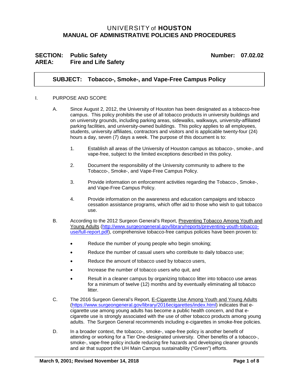## UNIVERSITY of **HOUSTON MANUAL OF ADMINISTRATIVE POLICIES AND PROCEDURES**

## **SECTION: Public Safety Number: 07.02.02 AREA: Fire and Life Safety**

### **SUBJECT: Tobacco-, Smoke-, and Vape-Free Campus Policy**

#### I. PURPOSE AND SCOPE

- A. Since August 2, 2012, the University of Houston has been designated as a tobacco-free campus. This policy prohibits the use of all tobacco products in university buildings and on university grounds, including parking areas, sidewalks, walkways, university-affiliated parking facilities, and university-owned buildings. This policy applies to all employees, students, university affiliates, contractors and visitors and is applicable twenty-four (24) hours a day, seven (7) days a week. The purpose of this document is to:
	- 1. Establish all areas of the University of Houston campus as tobacco-, smoke-, and vape-free, subject to the limited exceptions described in this policy.
	- 2. Document the responsibility of the University community to adhere to the Tobacco-, Smoke-, and Vape-Free Campus Policy.
	- 3. Provide information on enforcement activities regarding the Tobacco-, Smoke-, and Vape-Free Campus Policy.
	- 4. Provide information on the awareness and education campaigns and tobacco cessation assistance programs, which offer aid to those who wish to quit tobacco use.
- B. According to the 2012 Surgeon General's Report, Preventing Tobacco Among Youth and Young Adults [\(http://www.surgeongeneral.gov/library/reports/preventing-youth-tobacco](http://www.surgeongeneral.gov/library/reports/preventing-youth-tobacco-use/full-report.pdf)[use/full-report.pdf\)](http://www.surgeongeneral.gov/library/reports/preventing-youth-tobacco-use/full-report.pdf), comprehensive tobacco-free campus policies have been proven to:
	- Reduce the number of young people who begin smoking;
	- Reduce the number of casual users who contribute to daily tobacco use;
	- Reduce the amount of tobacco used by tobacco users,
	- Increase the number of tobacco users who quit, and
	- Result in a cleaner campus by organizing tobacco litter into tobacco use areas for a minimum of twelve (12) months and by eventually eliminating all tobacco litter.
- C. The 2016 Surgeon General's Report, E-Cigarette Use Among Youth and Young Adults [\(https://www.surgeongeneral.gov/library/2016ecigarettes/index.html\)](https://www.surgeongeneral.gov/library/2016ecigarettes/index.html) indicates that ecigarette use among young adults has become a public health concern, and that ecigarette use is strongly associated with the use of other tobacco products among young adults. The Surgeon General recommends including e-cigarettes in smoke-free policies.
- D. In a broader context, the tobacco-, smoke-, vape-free policy is another benefit of attending or working for a Tier One-designated university. Other benefits of a tobacco-, smoke-, vape-free policy include reducing fire hazards and developing cleaner grounds and air that support the UH Main Campus sustainability ("Green") efforts.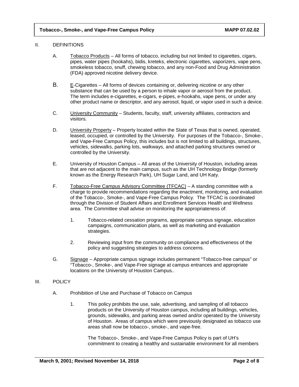#### II. DEFINITIONS

- A. Tobacco Products All forms of tobacco, including but not limited to cigarettes, cigars, pipes, water pipes (hookahs), bidis, kreteks, electronic cigarettes, vaporizers, vape pens, smokeless tobacco, snuff, chewing tobacco, and any non-Food and Drug Administration (FDA) approved nicotine delivery device.
- B.  $E$ -Cigarettes All forms of devices containing or, delivering nicotine or any other substance that can be used by a person to inhale vapor or aerosol from the product. The term includes e-cigarettes, e-cigars, e-pipes, e-hookahs, vape pens, or under any other product name or descriptor, and any aerosol, liquid, or vapor used in such a device.
- C. University Community Students, faculty, staff, university affiliates, contractors and visitors.
- D. University Property Property located within the State of Texas that is owned, operated, leased, occupied, or controlled by the University. For purposes of the Tobacco-, Smoke-, and Vape-Free Campus Policy, this includes but is not limited to all buildings, structures, vehicles, sidewalks, parking lots, walkways, and attached parking structures owned or controlled by the University.
- E. University of Houston Campus All areas of the University of Houston, including areas that are not adjacent to the main campus, such as the UH Technology Bridge (formerly known as the Energy Research Park), UH Sugar Land, and UH Katy.
- F. Tobacco-Free Campus Advisory Committee (TFCAC) A standing committee with a charge to provide recommendations regarding the enactment, monitoring, and evaluation of the Tobacco-, Smoke-, and Vape-Free Campus Policy. The TFCAC is coordinated through the Division of Student Affairs and Enrollment Services Health and Wellness area. The Committee shall advise on monitoring the appropriateness of:
	- 1. Tobacco-related cessation programs, appropriate campus signage, education campaigns, communication plans, as well as marketing and evaluation strategies.
	- 2. Reviewing input from the community on compliance and effectiveness of the policy and suggesting strategies to address concerns.
- G. Signage Appropriate campus signage includes permanent "Tobacco-free campus" or "Tobacco-, Smoke-, and Vape-Free signage at campus entrances and appropriate locations on the University of Houston Campus..

#### III. POLICY

- A. Prohibition of Use and Purchase of Tobacco on Campus
	- 1. This policy prohibits the use, sale, advertising, and sampling of all tobacco products on the University of Houston campus, including all buildings, vehicles, grounds, sidewalks, and parking areas owned and/or operated by the University of Houston. Areas of campus which were previously designated as tobacco use areas shall now be tobacco-, smoke-, and vape-free.

The Tobacco-, Smoke-, and Vape-Free Campus Policy is part of UH's commitment to creating a healthy and sustainable environment for all members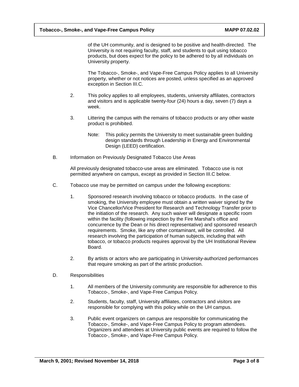of the UH community, and is designed to be positive and health-directed. The University is not requiring faculty, staff, and students to quit using tobacco products, but does expect for the policy to be adhered to by all individuals on University property.

The Tobacco-, Smoke-, and Vape-Free Campus Policy applies to all University property, whether or not notices are posted, unless specified as an approved exception in Section III.C.

- 2. This policy applies to all employees, students, university affiliates, contractors and visitors and is applicable twenty-four (24) hours a day, seven (7) days a week.
- 3. Littering the campus with the remains of tobacco products or any other waste product is prohibited.
	- Note: This policy permits the University to meet sustainable green building design standards through Leadership in Energy and Environmental Design (LEED) certification.
- B. Information on Previously Designated Tobacco Use Areas

All previously designated tobacco-use areas are eliminated. Tobacco use is not permitted anywhere on campus, except as provided in Section III.C below.

- C. Tobacco use may be permitted on campus under the following exceptions:
	- 1. Sponsored research involving tobacco or tobacco products. In the case of smoking, the University employee must obtain a written waiver signed by the Vice Chancellor/Vice President for Research and Technology Transfer prior to the initiation of the research. Any such waiver will designate a specific room within the facility (following inspection by the Fire Marshal's office and concurrence by the Dean or his direct representative) and sponsored research requirements. Smoke, like any other contaminant, will be controlled. All research involving the participation of human subjects, including that with tobacco, or tobacco products requires approval by the UH Institutional Review Board.
	- 2. By artists or actors who are participating in University-authorized performances that require smoking as part of the artistic production.
- D. Responsibilities
	- 1. All members of the University community are responsible for adherence to this Tobacco-, Smoke-, and Vape-Free Campus Policy.
	- 2. Students, faculty, staff, University affiliates, contractors and visitors are responsible for complying with this policy while on the UH campus.
	- 3. Public event organizers on campus are responsible for communicating the Tobacco-, Smoke-, and Vape-Free Campus Policy to program attendees. Organizers and attendees at University public events are required to follow the Tobacco-, Smoke-, and Vape-Free Campus Policy.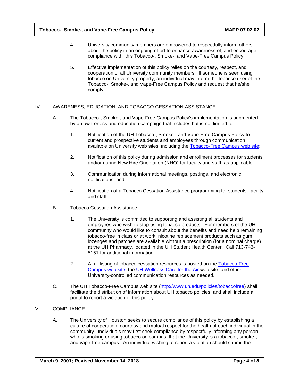- 4. University community members are empowered to respectfully inform others about the policy in an ongoing effort to enhance awareness of, and encourage compliance with, this Tobacco-, Smoke-, and Vape-Free Campus Policy.
- 5. Effective implementation of this policy relies on the courtesy, respect, and cooperation of all University community members. If someone is seen using tobacco on University property, an individual may inform the tobacco user of the Tobacco-, Smoke-, and Vape-Free Campus Policy and request that he/she comply.

#### IV. AWARENESS, EDUCATION, AND TOBACCO CESSATION ASSISTANCE

- A. The Tobacco-, Smoke-, and Vape-Free Campus Policy's implementation is augmented by an awareness and education campaign that includes but is not limited to:
	- 1. Notification of the UH Tobacco-, Smoke-, and Vape-Free Campus Policy to current and prospective students and employees through communication available on University web sites, including the [Tobacco-Free Campus web](http://www.uh.edu/policies/tobaccofree/) site;
	- 2. Notification of this policy during admission and enrollment processes for students and/or during New Hire Orientation (NHO) for faculty and staff, as applicable;
	- 3. Communication during informational meetings, postings, and electronic notifications; and
	- 4. Notification of a Tobacco Cessation Assistance programming for students, faculty and staff.
- B. Tobacco Cessation Assistance
	- 1. The University is committed to supporting and assisting all students and employees who wish to stop using tobacco products. For members of the UH community who would like to consult about the benefits and need help remaining tobacco-free in class or at work, nicotine replacement products such as gum, lozenges and patches are available without a prescription (for a nominal charge) at the UH Pharmacy, located in the UH Student Health Center. Call 713-743- 5151 for additional information.
	- 2. A full listing of tobacco cessation resources is posted on the [Tobacco-Free](http://www.uh.edu/policies/tobaccofree/) Campus [web site,](http://www.uh.edu/policies/tobaccofree/) the [UH Wellness Care for the Air](http://www.uh.edu/wellness/programs/care-for-the-air/) web site, and other University-controlled communication resources as needed.
- C. The UH Tobacco-Free Campus web site [\(http://www.uh.edu/policies/tobaccofree\)](http://www.uh.edu/policies/tobaccofree) shall facilitate the distribution of information about UH tobacco policies, and shall include a portal to report a violation of this policy.

#### V. COMPLIANCE

A. The University of Houston seeks to secure compliance of this policy by establishing a culture of cooperation, courtesy and mutual respect for the health of each individual in the community. Individuals may first seek compliance by respectfully informing any person who is smoking or using tobacco on campus, that the University is a tobacco-, smoke-, and vape-free campus. An individual wishing to report a violation should submit the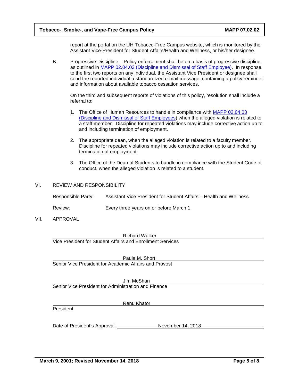report at the portal on the UH Tobacco-Free Campus website, which is monitored by the Assistant Vice-President for Student Affairs/Health and Wellness, or his/her designee.

B. Progressive Discipline – Policy enforcement shall be on a basis of progressive discipline as outlined in [MAPP 02.04.03 \(Discipline and Dismissal of Staff Employee\).](http://www.uh.edu/af/universityservices/policies/mapp/02/020403.pdf) In response to the first two reports on any individual, the Assistant Vice President or designee shall send the reported individual a standardized e-mail message, containing a policy reminder and information about available tobacco cessation services.

On the third and subsequent reports of violations of this policy, resolution shall include a referral to:

- 1. The Office of Human Resources to handle in compliance with [MAPP 02.04.03](http://www.uh.edu/af/universityservices/policies/mapp/02/020403.pdf) [\(Discipline and Dismissal of Staff Employees\)](http://www.uh.edu/af/universityservices/policies/mapp/02/020403.pdf) when the alleged violation is related to a staff member. Discipline for repeated violations may include corrective action up to and including termination of employment.
- 2. The appropriate dean, when the alleged violation is related to a faculty member. Discipline for repeated violations may include corrective action up to and including termination of employment.
- 3. The Office of the Dean of Students to handle in compliance with the Student Code of conduct, when the alleged violation is related to a student.

#### VI. REVIEW AND RESPONSIBILITY

Responsible Party: Assistant Vice President for Student Affairs – Health and Wellness Review: Every three years on or before March 1

VII. APPROVAL

Richard Walker

Vice President for Student Affairs and Enrollment Services

Paula M. Short

Senior Vice President for Academic Affairs and Provost

Jim McShan

Senior Vice President for Administration and Finance

Renu Khator

President

Date of President's Approval: November 14, 2018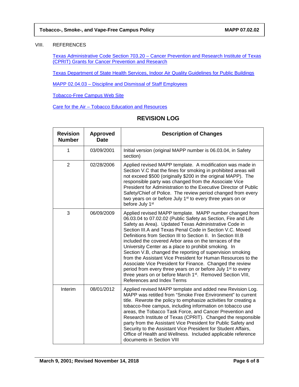#### VIII. REFERENCES

[Texas Administrative Code Section 703.20 – Cancer Prevention and Research Institute of Texas](http://www.cprit.state.tx.us/images/uploads/rule_703_20.pdf) [\(CPRIT\) Grants for Cancer Prevention and Research](http://www.cprit.state.tx.us/images/uploads/rule_703_20.pdf)

[Texas Department of State Health Services, Indoor Air Quality Guidelines for Public Buildings](https://dshs.texas.gov/iaq/SchoolsGuide.shtm)

[MAPP 02.04.03 – Discipline and Dismissal of Staff Employees](http://www.uh.edu/af/universityservices/policies/mapp/02/020403.pdf)

[Tobacco-Free Campus Web Site](http://www.uh.edu/policies/tobaccofree/)

[Care for the Air – Tobacco Education and Resources](http://www.uh.edu/wellness/programs/care-for-the-air/)

## **REVISION LOG**

| <b>Revision</b><br><b>Number</b> | <b>Approved</b><br><b>Date</b> | <b>Description of Changes</b>                                                                                                                                                                                                                                                                                                                                                                                                                                                                                                                                                                                                                                                                                                                                                                                |
|----------------------------------|--------------------------------|--------------------------------------------------------------------------------------------------------------------------------------------------------------------------------------------------------------------------------------------------------------------------------------------------------------------------------------------------------------------------------------------------------------------------------------------------------------------------------------------------------------------------------------------------------------------------------------------------------------------------------------------------------------------------------------------------------------------------------------------------------------------------------------------------------------|
| 1                                | 03/09/2001                     | Initial version (original MAPP number is 06.03.04, in Safety<br>section)                                                                                                                                                                                                                                                                                                                                                                                                                                                                                                                                                                                                                                                                                                                                     |
| $\overline{2}$                   | 02/28/2006                     | Applied revised MAPP template. A modification was made in<br>Section V.C that the fines for smoking in prohibited areas will<br>not exceed \$500 (originally \$200 in the original MAPP). The<br>responsible party was changed from the Associate Vice<br>President for Administration to the Executive Director of Public<br>Safety/Chief of Police. The review period changed from every<br>two years on or before July 1 <sup>st</sup> to every three years on or<br>before July 1st                                                                                                                                                                                                                                                                                                                      |
| 3                                | 06/09/2009                     | Applied revised MAPP template. MAPP number changed from<br>06.03.04 to 07.02.02 (Public Safety as Section, Fire and Life<br>Safety as Area). Updated Texas Administrative Code in<br>Section III.A and Texas Penal Code in Section V.C. Moved<br>Definitions from Section III to Section II. In Section III.B<br>included the covered Arbor area on the terraces of the<br>University Center as a place to prohibit smoking. In<br>Section V.B, changed the reporting of supervision smoking<br>from the Assistant Vice President for Human Resources to the<br>Associate Vice President for Finance. Changed the review<br>period from every three years on or before July 1 <sup>st</sup> to every<br>three years on or before March 1 <sup>st</sup> . Removed Section VIII,<br>References and Index Terms |
| Interim                          | 08/01/2012                     | Applied revised MAPP template and added new Revision Log.<br>MAPP was retitled from "Smoke Free Environment" to current<br>title. Rewrote the policy to emphasize activities for creating a<br>tobacco-free campus, including information on tobacco use<br>areas, the Tobacco Task Force, and Cancer Prevention and<br>Research Institute of Texas (CPRIT). Changed the responsible<br>party from the Assistant Vice President for Public Safety and<br>Security to the Assistant Vice President for Student Affairs,<br>Office of Health and Wellness. Included applicable reference<br>documents in Section VIII                                                                                                                                                                                          |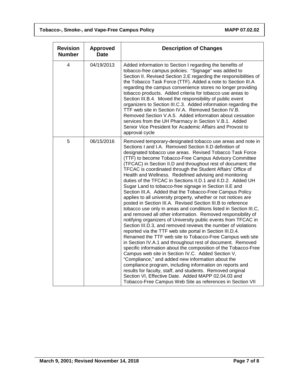## **Tobacco-, Smoke-, and Vape-Free Campus Policy MAPP 07.02.02**

| <b>Revision</b><br><b>Number</b> | <b>Approved</b><br><b>Date</b> | <b>Description of Changes</b>                                                                                                                                                                                                                                                                                                                                                                                                                                                                                                                                                                                                                                                                                                                                                                                                                                                                                                                                                                                                                                                                                                                                                                                                                                                                                                                                                                                                                                                                                                                                                                                                                     |
|----------------------------------|--------------------------------|---------------------------------------------------------------------------------------------------------------------------------------------------------------------------------------------------------------------------------------------------------------------------------------------------------------------------------------------------------------------------------------------------------------------------------------------------------------------------------------------------------------------------------------------------------------------------------------------------------------------------------------------------------------------------------------------------------------------------------------------------------------------------------------------------------------------------------------------------------------------------------------------------------------------------------------------------------------------------------------------------------------------------------------------------------------------------------------------------------------------------------------------------------------------------------------------------------------------------------------------------------------------------------------------------------------------------------------------------------------------------------------------------------------------------------------------------------------------------------------------------------------------------------------------------------------------------------------------------------------------------------------------------|
| 4                                | 04/19/2013                     | Added information to Section I regarding the benefits of<br>tobacco-free campus policies. "Signage" was added to<br>Section II. Revised Section 2.E regarding the responsibilities of<br>the Tobacco Task Force (TTF). Added a note to Section III.A<br>regarding the campus convenience stores no longer providing<br>tobacco products. Added criteria for tobacco use areas to<br>Section III.B.4. Moved the responsibility of public event<br>organizers to Section III.C.3. Added information regarding the<br>TTF web site in Section IV.A. Removed Section IV.B.<br>Removed Section V.A.5. Added information about cessation<br>services from the UH Pharmacy in Section V.B.1. Added<br>Senior Vice President for Academic Affairs and Provost to<br>approval cycle                                                                                                                                                                                                                                                                                                                                                                                                                                                                                                                                                                                                                                                                                                                                                                                                                                                                        |
| 5                                | 06/15/2016                     | Removed temporary-designated tobacco use areas and note in<br>Sections I and I.A. Removed Section II.D definition of<br>designated tobacco use areas. Revised Tobacco Task Force<br>(TTF) to become Tobacco-Free Campus Advisory Committee<br>(TFCAC) in Section II.D and throughout rest of document; the<br>TFCAC is coordinated through the Student Affairs' Office of<br>Health and Wellness. Redefined advising and monitoring<br>duties of the TFCAC in Sections II.D.1 and II.D.2. Added UH<br>Sugar Land to tobacco-free signage in Section II.E and<br>Section III.A. Added that the Tobacco-Free Campus Policy<br>applies to all university property, whether or not notices are<br>posted in Section III.A. Revised Section III.B to reference<br>tobacco use only in areas and conditions listed in Section III.C,<br>and removed all other information. Removed responsibility of<br>notifying organizers of University public events from TFCAC in<br>Section III.D.3, and removed reviews the number of violations<br>reported via the TTF web site portal in Section III.D.4.<br>Renamed the TTF web site to Tobacco-Free Campus web site<br>in Section IV.A.1 and throughout rest of document. Removed<br>specific information about the composition of the Tobacco-Free<br>Campus web site in Section IV.C. Added Section V,<br>"Compliance," and added new information about the<br>compliance program, including information on reports and<br>results for faculty, staff, and students. Removed original<br>Section VI, Effective Date. Added MAPP 02.04.03 and<br>Tobacco-Free Campus Web Site as references in Section VII |